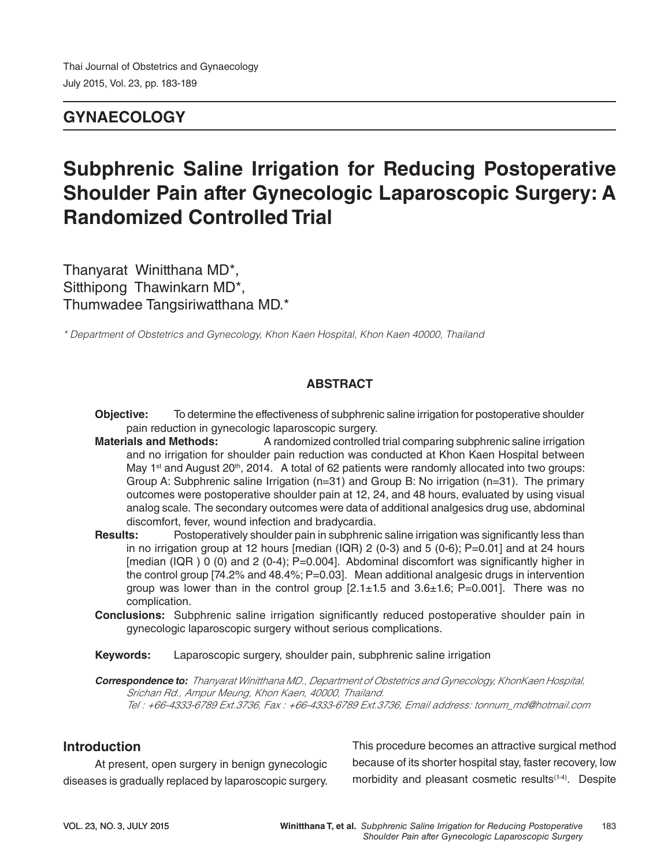# **GYNAECOLOGY**

# **Subphrenic Saline Irrigation for Reducing Postoperative Shoulder Pain after Gynecologic Laparoscopic Surgery: A Randomized Controlled Trial**

Thanyarat Winitthana MD\*, Sitthipong Thawinkarn MD\*, Thumwadee Tangsiriwatthana MD.\*

*\* Department of Obstetrics and Gynecology, Khon Kaen Hospital, Khon Kaen 40000, Thailand*

## **ABSTRACT**

**Objective:** To determine the effectiveness of subphrenic saline irrigation for postoperative shoulder pain reduction in gynecologic laparoscopic surgery.

- **Materials and Methods:** A randomized controlled trial comparing subphrenic saline irrigation and no irrigation for shoulder pain reduction was conducted at Khon Kaen Hospital between May 1<sup>st</sup> and August 20<sup>th</sup>, 2014. A total of 62 patients were randomly allocated into two groups: Group A: Subphrenic saline Irrigation (n=31) and Group B: No irrigation (n=31). The primary outcomes were postoperative shoulder pain at 12, 24, and 48 hours, evaluated by using visual analog scale. The secondary outcomes were data of additional analgesics drug use, abdominal discomfort, fever, wound infection and bradycardia.
- **Results:** Postoperatively shoulder pain in subphrenic saline irrigation was significantly less than in no irrigation group at 12 hours [median (IQR)  $2$  (0-3) and 5 (0-6); P=0.01] and at 24 hours [median (IQR ) 0 (0) and 2 (0-4); P=0.004]. Abdominal discomfort was significantly higher in the control group [74.2% and 48.4%; P=0.03]. Mean additional analgesic drugs in intervention group was lower than in the control group  $[2.1 \pm 1.5$  and  $3.6 \pm 1.6$ ; P=0.001]. There was no complication.
- **Conclusions:** Subphrenic saline irrigation significantly reduced postoperative shoulder pain in gynecologic laparoscopic surgery without serious complications.

**Keywords:** Laparoscopic surgery, shoulder pain, subphrenic saline irrigation

**Correspondence to:** *Thanyarat Winitthana MD., Department of Obstetrics and Gynecology, KhonKaen Hospital, Srichan Rd., Ampur Meung, Khon Kaen, 40000, Thailand. Tel : +66-4333-6789 Ext.3736, Fax : +66-4333-6789 Ext.3736, Email address: tonnum\_md@hotmail.com*

### **Introduction**

At present, open surgery in benign gynecologic diseases is gradually replaced by laparoscopic surgery. This procedure becomes an attractive surgical method because of its shorter hospital stay, faster recovery, low morbidity and pleasant cosmetic results<sup>(1-4)</sup>. Despite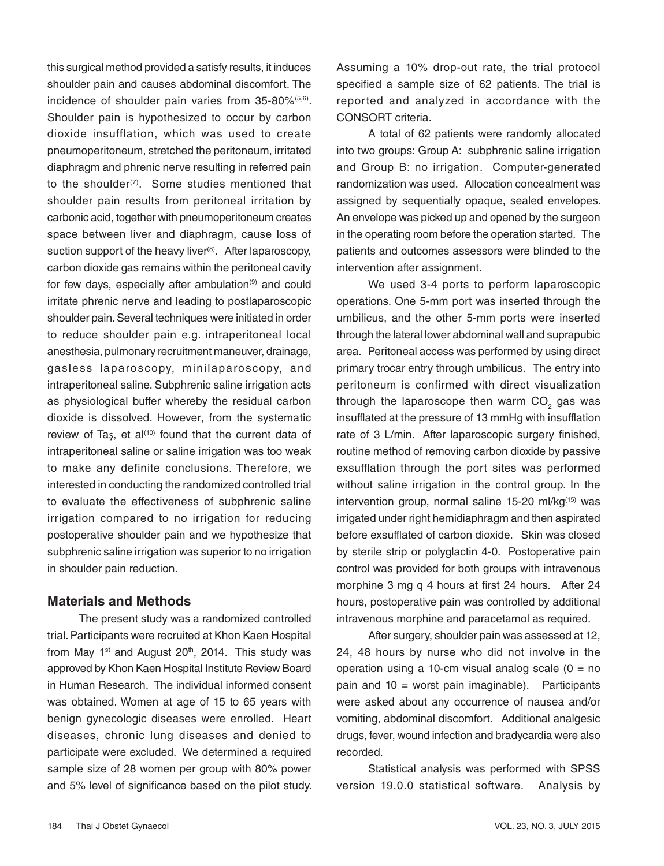this surgical method provided a satisfy results, it induces shoulder pain and causes abdominal discomfort. The incidence of shoulder pain varies from 35-80%<sup>(5,6)</sup>. Shoulder pain is hypothesized to occur by carbon dioxide insufflation, which was used to create pneumoperitoneum, stretched the peritoneum, irritated diaphragm and phrenic nerve resulting in referred pain to the shoulder<sup>(7)</sup>. Some studies mentioned that shoulder pain results from peritoneal irritation by carbonic acid, together with pneumoperitoneum creates space between liver and diaphragm, cause loss of suction support of the heavy liver<sup>(8)</sup>. After laparoscopy, carbon dioxide gas remains within the peritoneal cavity for few days, especially after ambulation $(9)$  and could irritate phrenic nerve and leading to postlaparoscopic shoulder pain. Several techniques were initiated in order to reduce shoulder pain e.g. intraperitoneal local anesthesia, pulmonary recruitment maneuver, drainage, gasless laparoscopy, minilaparoscopy, and intraperitoneal saline. Subphrenic saline irrigation acts as physiological buffer whereby the residual carbon dioxide is dissolved. However, from the systematic review of Tas, et al $(10)$  found that the current data of intraperitoneal saline or saline irrigation was too weak to make any definite conclusions. Therefore, we interested in conducting the randomized controlled trial to evaluate the effectiveness of subphrenic saline irrigation compared to no irrigation for reducing postoperative shoulder pain and we hypothesize that subphrenic saline irrigation was superior to no irrigation in shoulder pain reduction.

# **Materials and Methods**

The present study was a randomized controlled trial. Participants were recruited at Khon Kaen Hospital from May  $1<sup>st</sup>$  and August 20<sup>th</sup>, 2014. This study was approved by Khon Kaen Hospital Institute Review Board in Human Research. The individual informed consent was obtained. Women at age of 15 to 65 years with benign gynecologic diseases were enrolled. Heart diseases, chronic lung diseases and denied to participate were excluded. We determined a required sample size of 28 women per group with 80% power and 5% level of significance based on the pilot study. Assuming a 10% drop-out rate, the trial protocol specified a sample size of 62 patients. The trial is reported and analyzed in accordance with the CONSORT criteria.

A total of 62 patients were randomly allocated into two groups: Group A: subphrenic saline irrigation and Group B: no irrigation. Computer-generated randomization was used. Allocation concealment was assigned by sequentially opaque, sealed envelopes. An envelope was picked up and opened by the surgeon in the operating room before the operation started. The patients and outcomes assessors were blinded to the intervention after assignment.

We used 3-4 ports to perform laparoscopic operations. One 5-mm port was inserted through the umbilicus, and the other 5-mm ports were inserted through the lateral lower abdominal wall and suprapubic area. Peritoneal access was performed by using direct primary trocar entry through umbilicus. The entry into peritoneum is confirmed with direct visualization through the laparoscope then warm CO<sub>2</sub> gas was insufflated at the pressure of 13 mmHg with insufflation rate of 3 L/min. After laparoscopic surgery finished, routine method of removing carbon dioxide by passive exsufflation through the port sites was performed without saline irrigation in the control group. In the intervention group, normal saline 15-20 ml/kg<sup>(15)</sup> was irrigated under right hemidiaphragm and then aspirated before exsufflated of carbon dioxide. Skin was closed by sterile strip or polyglactin 4-0. Postoperative pain control was provided for both groups with intravenous morphine 3 mg q 4 hours at first 24 hours. After 24 hours, postoperative pain was controlled by additional intravenous morphine and paracetamol as required.

After surgery, shoulder pain was assessed at 12, 24, 48 hours by nurse who did not involve in the operation using a 10-cm visual analog scale  $(0 = no$ pain and 10 = worst pain imaginable). Participants were asked about any occurrence of nausea and/or vomiting, abdominal discomfort. Additional analgesic drugs, fever, wound infection and bradycardia were also recorded.

Statistical analysis was performed with SPSS version 19.0.0 statistical software. Analysis by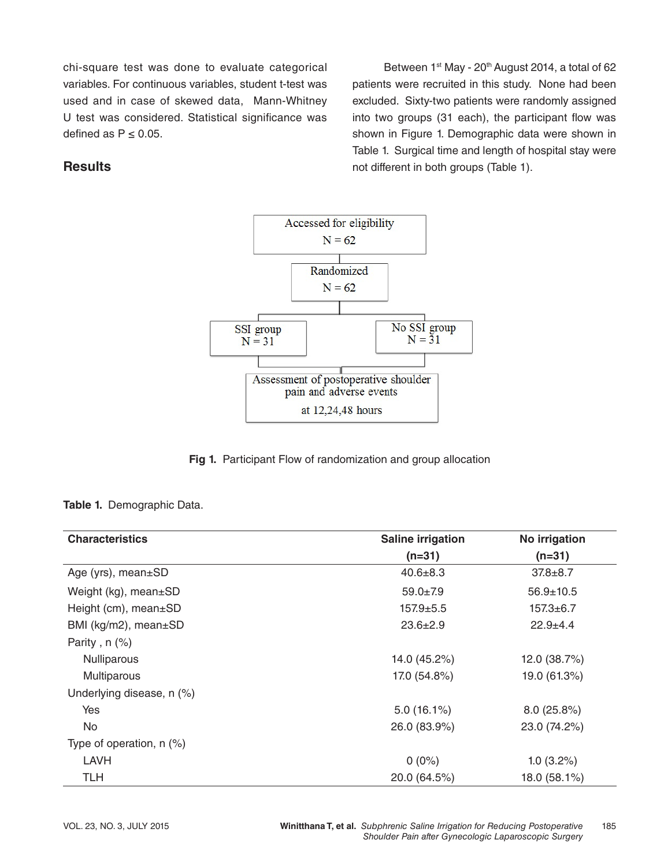chi-square test was done to evaluate categorical variables. For continuous variables, student t-test was used and in case of skewed data, Mann-Whitney U test was considered. Statistical significance was defined as  $P \leq 0.05$ .

Between 1<sup>st</sup> May - 20<sup>th</sup> August 2014, a total of 62 patients were recruited in this study. None had been excluded. Sixty-two patients were randomly assigned into two groups (31 each), the participant flow was shown in Figure 1. Demographic data were shown in Table 1. Surgical time and length of hospital stay were not different in both groups (Table 1).

# **Results**



**Fig 1.** Participant Flow of randomization and group allocation

#### **Table 1.** Demographic Data.

| <b>Characteristics</b>     | <b>Saline irrigation</b> | No irrigation   |  |
|----------------------------|--------------------------|-----------------|--|
|                            | $(n=31)$                 | $(n=31)$        |  |
| Age (yrs), mean±SD         | $40.6 \pm 8.3$           | $37.8 + 8.7$    |  |
| Weight (kg), mean±SD       | $59.0 \pm 7.9$           | $56.9 \pm 10.5$ |  |
| Height (cm), $mean \pm SD$ | $157.9 + 5.5$            | $157.3 + 6.7$   |  |
| BMI (kg/m2), mean±SD       | $23.6 \pm 2.9$           | $22.9 + 4.4$    |  |
| Parity, $n$ $(\%)$         |                          |                 |  |
| Nulliparous                | 14.0 (45.2%)             | 12.0 (38.7%)    |  |
| Multiparous                | 17.0 (54.8%)             | 19.0 (61.3%)    |  |
| Underlying disease, n (%)  |                          |                 |  |
| Yes                        | $5.0(16.1\%)$            | 8.0(25.8%)      |  |
| No.                        | 26.0 (83.9%)             | 23.0 (74.2%)    |  |
| Type of operation, $n$ (%) |                          |                 |  |
| LAVH                       | $0(0\%)$                 | $1.0(3.2\%)$    |  |
| <b>TLH</b>                 | 20.0 (64.5%)             | 18.0 (58.1%)    |  |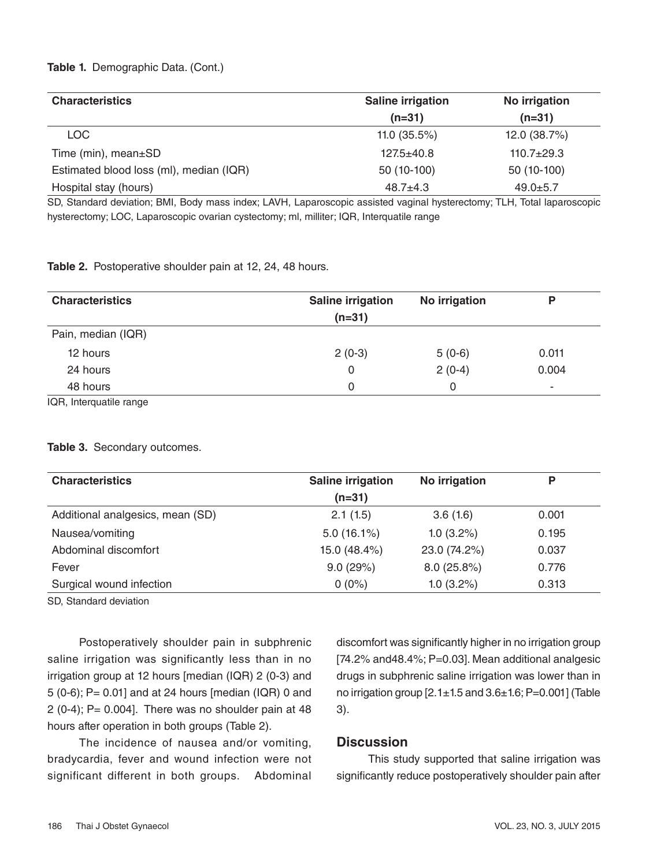#### **Table 1.** Demographic Data. (Cont.)

| <b>Characteristics</b>                  | <b>Saline irrigation</b> | No irrigation  |
|-----------------------------------------|--------------------------|----------------|
|                                         | $(n=31)$                 | $(n=31)$       |
| LOC.                                    | 11.0 $(35.5\%)$          | 12.0 (38.7%)   |
| Time ( $min$ ), mean $\pm$ SD           | $127.5 + 40.8$           | $110.7 + 29.3$ |
| Estimated blood loss (ml), median (IQR) | 50 (10-100)              | 50 (10-100)    |
| Hospital stay (hours)                   | $48.7 + 4.3$             | $49.0 \pm 5.7$ |

SD, Standard deviation; BMI, Body mass index; LAVH, Laparoscopic assisted vaginal hysterectomy; TLH, Total laparoscopic hysterectomy; LOC, Laparoscopic ovarian cystectomy; ml, milliter; IQR, Interquatile range

#### **Table 2.** Postoperative shoulder pain at 12, 24, 48 hours.

| Saline irrigation | No irrigation | Ρ     |
|-------------------|---------------|-------|
|                   |               |       |
|                   |               |       |
| $2(0-3)$          | $5(0-6)$      | 0.011 |
| 0                 | $2(0-4)$      | 0.004 |
| 0                 | 0             | ۰     |
|                   | $(n=31)$      |       |

IQR, Interquatile range

### **Table 3.** Secondary outcomes.

| <b>Characteristics</b>           | <b>Saline irrigation</b> | No irrigation | P     |
|----------------------------------|--------------------------|---------------|-------|
|                                  | $(n=31)$                 |               |       |
| Additional analgesics, mean (SD) | 2.1(1.5)                 | 3.6(1.6)      | 0.001 |
| Nausea/vomiting                  | $5.0(16.1\%)$            | $1.0(3.2\%)$  | 0.195 |
| Abdominal discomfort             | 15.0 (48.4%)             | 23.0 (74.2%)  | 0.037 |
| Fever                            | 9.0(29%)                 | 8.0(25.8%)    | 0.776 |
| Surgical wound infection         | $0(0\%)$                 | $1.0(3.2\%)$  | 0.313 |

SD, Standard deviation

Postoperatively shoulder pain in subphrenic saline irrigation was significantly less than in no irrigation group at 12 hours [median (IQR) 2 (0-3) and 5 (0-6); P= 0.01] and at 24 hours [median (IQR) 0 and 2 (0-4);  $P = 0.004$ ]. There was no shoulder pain at 48 hours after operation in both groups (Table 2).

The incidence of nausea and/or vomiting, bradycardia, fever and wound infection were not significant different in both groups. Abdominal discomfort was significantly higher in no irrigation group [74.2% and 48.4%; P=0.03]. Mean additional analgesic drugs in subphrenic saline irrigation was lower than in no irrigation group [2.1±1.5 and 3.6±1.6; P=0.001] (Table 3).

### **Discussion**

This study supported that saline irrigation was significantly reduce postoperatively shoulder pain after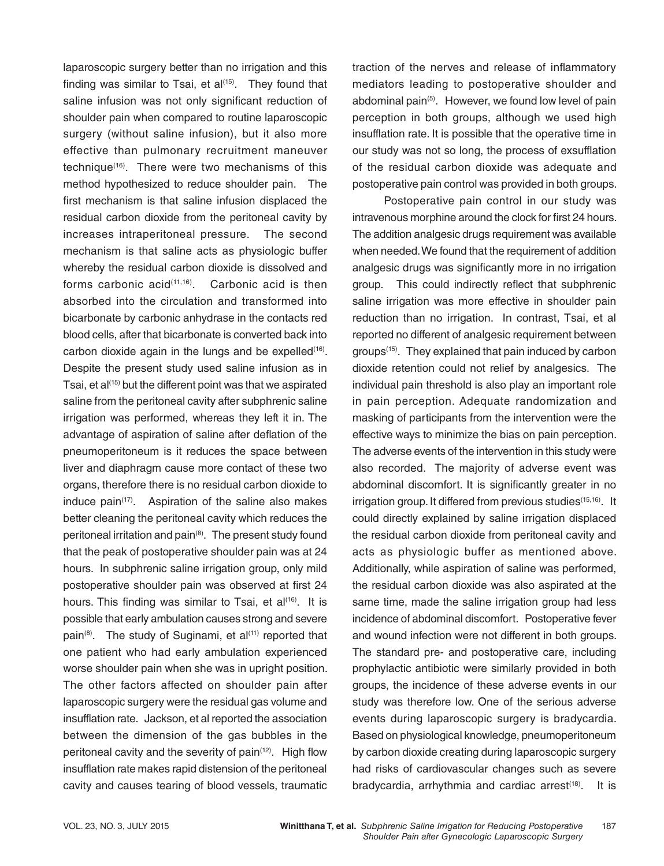laparoscopic surgery better than no irrigation and this finding was similar to Tsai, et  $a^{(15)}$ . They found that saline infusion was not only significant reduction of shoulder pain when compared to routine laparoscopic surgery (without saline infusion), but it also more effective than pulmonary recruitment maneuver technique(16). There were two mechanisms of this method hypothesized to reduce shoulder pain. The first mechanism is that saline infusion displaced the residual carbon dioxide from the peritoneal cavity by increases intraperitoneal pressure. The second mechanism is that saline acts as physiologic buffer whereby the residual carbon dioxide is dissolved and forms carbonic  $\arctan(11,16)$ . Carbonic acid is then absorbed into the circulation and transformed into bicarbonate by carbonic anhydrase in the contacts red blood cells, after that bicarbonate is converted back into carbon dioxide again in the lungs and be expelled $(16)$ . Despite the present study used saline infusion as in Tsai, et al<sup>(15)</sup> but the different point was that we aspirated saline from the peritoneal cavity after subphrenic saline irrigation was performed, whereas they left it in. The advantage of aspiration of saline after deflation of the pneumoperitoneum is it reduces the space between liver and diaphragm cause more contact of these two organs, therefore there is no residual carbon dioxide to induce  $\text{pain}^{(17)}$ . Aspiration of the saline also makes better cleaning the peritoneal cavity which reduces the peritoneal irritation and pain(8). The present study found that the peak of postoperative shoulder pain was at 24 hours. In subphrenic saline irrigation group, only mild postoperative shoulder pain was observed at first 24 hours. This finding was similar to Tsai, et  $al^{(16)}$ . It is possible that early ambulation causes strong and severe pain<sup>(8)</sup>. The study of Suginami, et al<sup> $(11)$ </sup> reported that one patient who had early ambulation experienced worse shoulder pain when she was in upright position. The other factors affected on shoulder pain after laparoscopic surgery were the residual gas volume and insufflation rate. Jackson, et al reported the association between the dimension of the gas bubbles in the peritoneal cavity and the severity of pain<sup>(12)</sup>. High flow insufflation rate makes rapid distension of the peritoneal cavity and causes tearing of blood vessels, traumatic

traction of the nerves and release of inflammatory mediators leading to postoperative shoulder and abdominal pain<sup>(5)</sup>. However, we found low level of pain perception in both groups, although we used high insufflation rate. It is possible that the operative time in our study was not so long, the process of exsufflation of the residual carbon dioxide was adequate and postoperative pain control was provided in both groups.

Postoperative pain control in our study was intravenous morphine around the clock for first 24 hours. The addition analgesic drugs requirement was available when needed. We found that the requirement of addition analgesic drugs was significantly more in no irrigation group. This could indirectly reflect that subphrenic saline irrigation was more effective in shoulder pain reduction than no irrigation. In contrast, Tsai, et al reported no different of analgesic requirement between groups(15). They explained that pain induced by carbon dioxide retention could not relief by analgesics. The individual pain threshold is also play an important role in pain perception. Adequate randomization and masking of participants from the intervention were the effective ways to minimize the bias on pain perception. The adverse events of the intervention in this study were also recorded. The majority of adverse event was abdominal discomfort. It is significantly greater in no irrigation group. It differed from previous studies<sup>(15,16)</sup>. It could directly explained by saline irrigation displaced the residual carbon dioxide from peritoneal cavity and acts as physiologic buffer as mentioned above. Additionally, while aspiration of saline was performed, the residual carbon dioxide was also aspirated at the same time, made the saline irrigation group had less incidence of abdominal discomfort. Postoperative fever and wound infection were not different in both groups. The standard pre- and postoperative care, including prophylactic antibiotic were similarly provided in both groups, the incidence of these adverse events in our study was therefore low. One of the serious adverse events during laparoscopic surgery is bradycardia. Based on physiological knowledge, pneumoperitoneum by carbon dioxide creating during laparoscopic surgery had risks of cardiovascular changes such as severe bradycardia, arrhythmia and cardiac arrest<sup>(18)</sup>. It is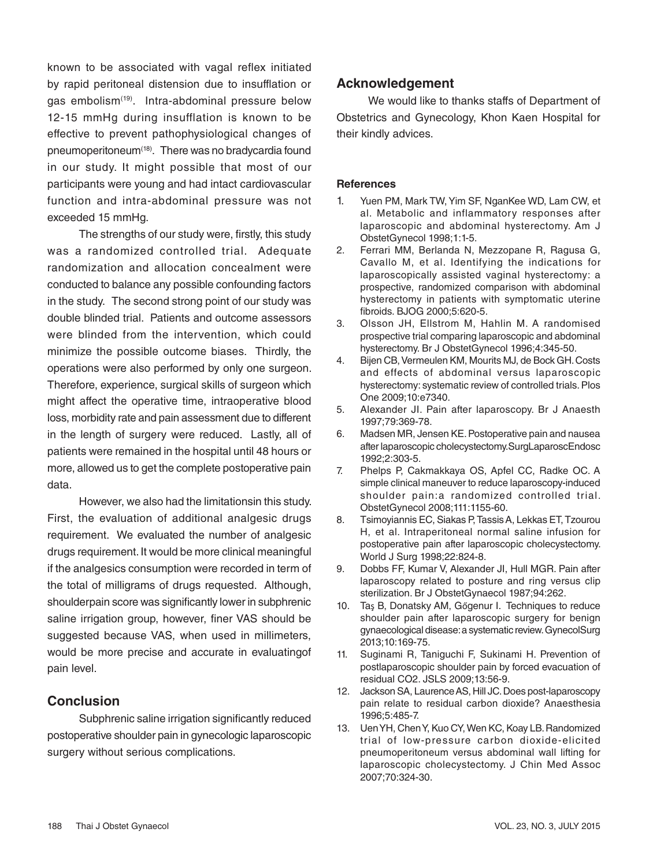known to be associated with vagal reflex initiated by rapid peritoneal distension due to insufflation or gas embolism<sup>(19)</sup>. Intra-abdominal pressure below 12-15 mmHg during insufflation is known to be effective to prevent pathophysiological changes of pneumoperitoneum(18). There was no bradycardia found in our study. It might possible that most of our participants were young and had intact cardiovascular function and intra-abdominal pressure was not exceeded 15 mmHg.

The strengths of our study were, firstly, this study was a randomized controlled trial. Adequate randomization and allocation concealment were conducted to balance any possible confounding factors in the study. The second strong point of our study was double blinded trial. Patients and outcome assessors were blinded from the intervention, which could minimize the possible outcome biases. Thirdly, the operations were also performed by only one surgeon. Therefore, experience, surgical skills of surgeon which might affect the operative time, intraoperative blood loss, morbidity rate and pain assessment due to different in the length of surgery were reduced. Lastly, all of patients were remained in the hospital until 48 hours or more, allowed us to get the complete postoperative pain data.

However, we also had the limitationsin this study. First, the evaluation of additional analgesic drugs requirement. We evaluated the number of analgesic drugs requirement. It would be more clinical meaningful if the analgesics consumption were recorded in term of the total of milligrams of drugs requested. Although, shoulderpain score was significantly lower in subphrenic saline irrigation group, however, finer VAS should be suggested because VAS, when used in millimeters, would be more precise and accurate in evaluatingof pain level.

# **Conclusion**

Subphrenic saline irrigation significantly reduced postoperative shoulder pain in gynecologic laparoscopic surgery without serious complications.

# **Acknowledgement**

We would like to thanks staffs of Department of Obstetrics and Gynecology, Khon Kaen Hospital for their kindly advices.

#### **References**

- 1. Yuen PM, Mark TW, Yim SF, NganKee WD, Lam CW, et al. Metabolic and inflammatory responses after laparoscopic and abdominal hysterectomy. Am J ObstetGynecol 1998;1:1-5.
- 2. Ferrari MM, Berlanda N, Mezzopane R, Ragusa G, Cavallo M, et al. Identifying the indications for laparoscopically assisted vaginal hysterectomy: a prospective, randomized comparison with abdominal hysterectomy in patients with symptomatic uterine fibroids. BJOG 2000;5:620-5.
- 3. Olsson JH, Ellstrom M, Hahlin M. A randomised prospective trial comparing laparoscopic and abdominal hysterectomy. Br J ObstetGynecol 1996;4:345-50.
- 4. Bijen CB, Vermeulen KM, Mourits MJ, de Bock GH. Costs and effects of abdominal versus laparoscopic hysterectomy: systematic review of controlled trials. Plos One 2009;10:e7340.
- 5. Alexander JI. Pain after laparoscopy. Br J Anaesth 1997;79:369-78.
- 6. Madsen MR, Jensen KE. Postoperative pain and nausea after laparoscopic cholecystectomy.SurgLaparoscEndosc 1992;2:303-5.
- 7. Phelps P, Cakmakkaya OS, Apfel CC, Radke OC. A simple clinical maneuver to reduce laparoscopy-induced shoulder pain:a randomized controlled trial. ObstetGynecol 2008;111:1155-60.
- 8. Tsimoyiannis EC, Siakas P, Tassis A, Lekkas ET, Tzourou H, et al. Intraperitoneal normal saline infusion for postoperative pain after laparoscopic cholecystectomy. World J Surg 1998;22:824-8.
- 9. Dobbs FF, Kumar V, Alexander JI, Hull MGR. Pain after laparoscopy related to posture and ring versus clip sterilization. Br J ObstetGynaecol 1987;94:262.
- 10. Taş B, Donatsky AM, Gőgenur I. Techniques to reduce shoulder pain after laparoscopic surgery for benign gynaecological disease: a systematic review. GynecolSurg 2013;10:169-75.
- 11. Suginami R, Taniguchi F, Sukinami H. Prevention of postlaparoscopic shoulder pain by forced evacuation of residual CO2. JSLS 2009;13:56-9.
- 12. Jackson SA, Laurence AS, Hill JC. Does post-laparoscopy pain relate to residual carbon dioxide? Anaesthesia 1996;5:485-7.
- 13. Uen YH, Chen Y, Kuo CY, Wen KC, Koay LB. Randomized trial of low-pressure carbon dioxide-elicited pneumoperitoneum versus abdominal wall lifting for laparoscopic cholecystectomy. J Chin Med Assoc 2007;70:324-30.